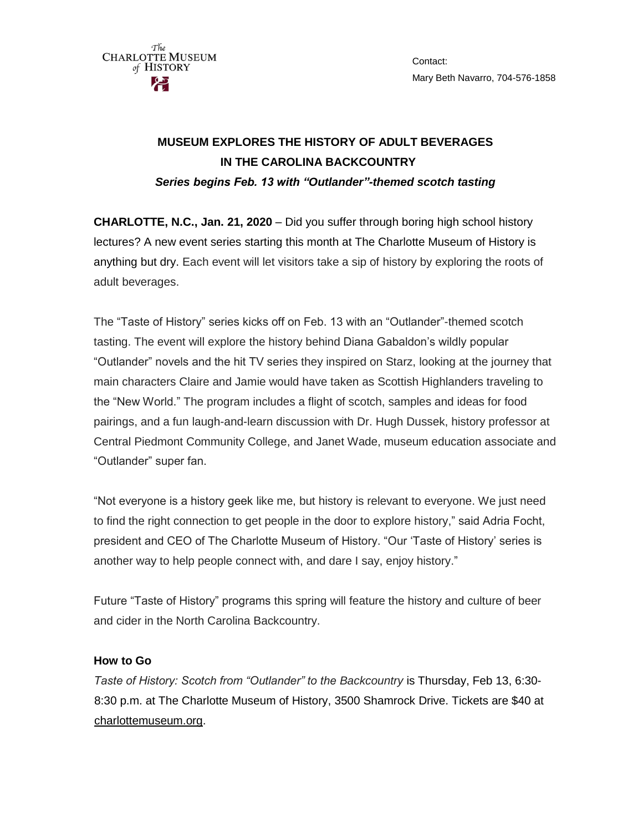

**CHARLOTTE, N.C., Jan. 21, 2020** – Did you suffer through boring high school history lectures? A new event series starting this month at The Charlotte Museum of History is anything but dry. Each event will let visitors take a sip of history by exploring the roots of adult beverages.

The "Taste of History" series kicks off on Feb. 13 with an "Outlander"-themed scotch tasting. The event will explore the history behind Diana Gabaldon's wildly popular "Outlander" novels and the hit TV series they inspired on Starz, looking at the journey that main characters Claire and Jamie would have taken as Scottish Highlanders traveling to the "New World." The program includes a flight of scotch, samples and ideas for food pairings, and a fun laugh-and-learn discussion with Dr. Hugh Dussek, history professor at Central Piedmont Community College, and Janet Wade, museum education associate and "Outlander" super fan.

"Not everyone is a history geek like me, but history is relevant to everyone. We just need to find the right connection to get people in the door to explore history," said Adria Focht, president and CEO of The Charlotte Museum of History. "Our 'Taste of History' series is another way to help people connect with, and dare I say, enjoy history."

Future "Taste of History" programs this spring will feature the history and culture of beer and cider in the North Carolina Backcountry.

## **How to Go**

The **CHARLOTTE MUSEUM** of HISTORY

*Taste of History: Scotch from "Outlander" to the Backcountry* is Thursday, Feb 13, 6:30- 8:30 p.m. at The Charlotte Museum of History, 3500 Shamrock Drive. Tickets are \$40 at [charlottemuseum.org.](http://charlottemuseum.org/tc-events/african-american-heritage-festival/)